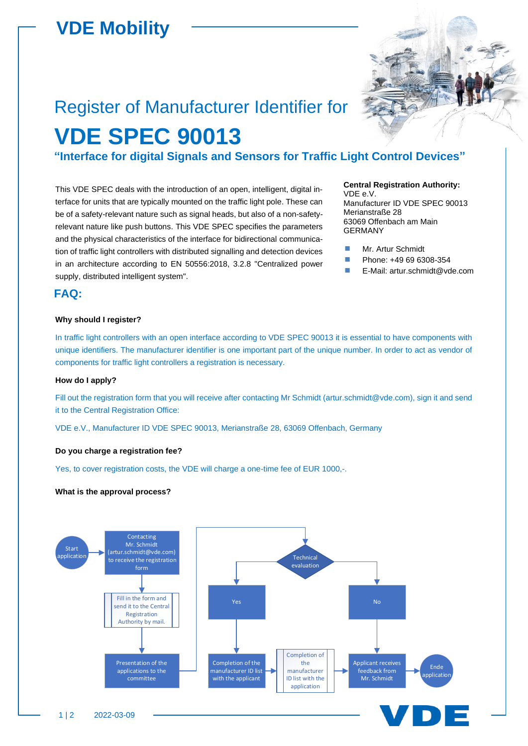## **VDE Mobility**

# Register of Manufacturer Identifier for **VDE SPEC 90013**

**"Interface for digital Signals and Sensors for Traffic Light Control Devices"**

This VDE SPEC deals with the introduction of an open, intelligent, digital interface for units that are typically mounted on the traffic light pole. These can be of a safety-relevant nature such as signal heads, but also of a non-safetyrelevant nature like push buttons. This VDE SPEC specifies the parameters and the physical characteristics of the interface for bidirectional communication of traffic light controllers with distributed signalling and detection devices in an architecture according to EN 50556:2018, 3.2.8 "Centralized power supply, distributed intelligent system".

#### **Central Registration Authority:**

VDE e.V. Manufacturer ID VDE SPEC 90013 Merianstraße 28 63069 Offenbach am Main GERMANY

- **Mr. Artur Schmidt**
- **Phone: +49 69 6308-354**
- E-Mail: artur.schmidt@vde.com

#### **FAQ:**

#### **Why should I register?**

In traffic light controllers with an open interface according to VDE SPEC 90013 it is essential to have components with unique identifiers. The manufacturer identifier is one important part of the unique number. In order to act as vendor of components for traffic light controllers a registration is necessary.

#### **How do I apply?**

Fill out the registration form that you will receive after contacting Mr Schmidt (artur.schmidt@vde.com), sign it and send it to the Central Registration Office:

VDE e.V., Manufacturer ID VDE SPEC 90013, Merianstraße 28, 63069 Offenbach, Germany

#### **Do you charge a registration fee?**

Yes, to cover registration costs, the VDE will charge a one-time fee of EUR 1000,-.

#### **What is the approval process?**